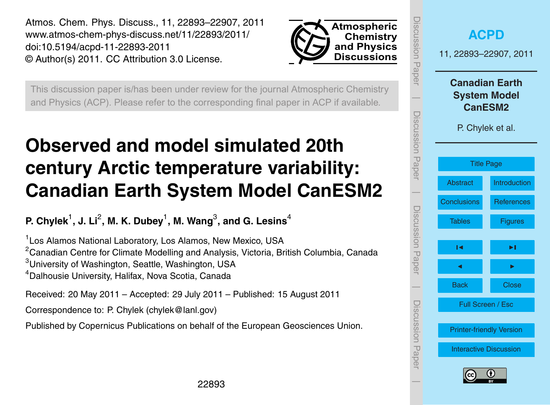<span id="page-0-0"></span>Atmos. Chem. Phys. Discuss., 11, 22893–22907, 2011 www.atmos-chem-phys-discuss.net/11/22893/2011/ doi:10.5194/acpd-11-22893-2011 © Author(s) 2011. CC Attribution 3.0 License.



This discussion paper is/has been under review for the journal Atmospheric Chemistry and Physics (ACP). Please refer to the corresponding final paper in ACP if available.

# **Observed and model simulated 20th century Arctic temperature variability: Canadian Earth System Model CanESM2**

# **P. Chylek**<sup>1</sup> **, J. Li**<sup>2</sup> **, M. K. Dubey**<sup>1</sup> **, M. Wang**<sup>3</sup> **, and G. Lesins**<sup>4</sup>

<sup>1</sup> Los Alamos National Laboratory, Los Alamos, New Mexico, USA <sup>2</sup> Canadian Centre for Climate Modelling and Analysis, Victoria, British Columbia, Canada <sup>3</sup>University of Washington, Seattle, Washington, USA <sup>4</sup>Dalhousie University, Halifax, Nova Scotia, Canada

Received: 20 May 2011 – Accepted: 29 July 2011 – Published: 15 August 2011

Correspondence to: P. Chylek (chylek@lanl.gov)

Published by Copernicus Publications on behalf of the European Geosciences Union.

| <b>ISCUSSION Paper</b> | <b>ACPD</b><br>11, 22893-22907, 2011                                               |                   |  |  |  |  |  |  |  |
|------------------------|------------------------------------------------------------------------------------|-------------------|--|--|--|--|--|--|--|
| Discussion Paper       | <b>Canadian Earth</b><br><b>System Model</b><br><b>CanESM2</b><br>P. Chylek et al. |                   |  |  |  |  |  |  |  |
|                        | <b>Title Page</b>                                                                  |                   |  |  |  |  |  |  |  |
|                        | <b>Abstract</b>                                                                    | Introduction      |  |  |  |  |  |  |  |
|                        | Conclusions                                                                        | <b>References</b> |  |  |  |  |  |  |  |
| Discussion<br>Paper    | <b>Tables</b>                                                                      | <b>Figures</b>    |  |  |  |  |  |  |  |
|                        | м                                                                                  | ▶∣                |  |  |  |  |  |  |  |
|                        | ◀                                                                                  |                   |  |  |  |  |  |  |  |
|                        | <b>Back</b>                                                                        | <b>Close</b>      |  |  |  |  |  |  |  |
| Discussion Paper       | Full Screen / Esc                                                                  |                   |  |  |  |  |  |  |  |
|                        | <b>Printer-friendly Version</b>                                                    |                   |  |  |  |  |  |  |  |
|                        | <b>Interactive Discussion</b>                                                      |                   |  |  |  |  |  |  |  |
|                        | G)<br>(cc                                                                          |                   |  |  |  |  |  |  |  |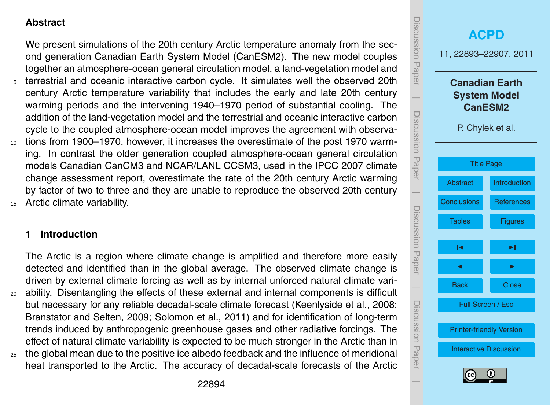#### <span id="page-1-0"></span>**Abstract**

We present simulations of the 20th century Arctic temperature anomaly from the second generation Canadian Earth System Model (CanESM2). The new model couples together an atmosphere-ocean general circulation model, a land-vegetation model and <sup>5</sup> terrestrial and oceanic interactive carbon cycle. It simulates well the observed 20th century Arctic temperature variability that includes the early and late 20th century warming periods and the intervening 1940–1970 period of substantial cooling. The addition of the land-vegetation model and the terrestrial and oceanic interactive carbon cycle to the coupled atmosphere-ocean model improves the agreement with observa-<sup>10</sup> tions from 1900–1970, however, it increases the overestimate of the post 1970 warming. In contrast the older generation coupled atmosphere-ocean general circulation models Canadian CanCM3 and NCAR/LANL CCSM3, used in the IPCC 2007 climate

change assessment report, overestimate the rate of the 20th century Arctic warming by factor of two to three and they are unable to reproduce the observed 20th century <sup>15</sup> Arctic climate variability.

#### **1 Introduction**

The Arctic is a region where climate change is amplified and therefore more easily detected and identified than in the global average. The observed climate change is driven by external climate forcing as well as by internal unforced natural climate vari-<sup>20</sup> ability. Disentangling the effects of these external and internal components is difficult but necessary for any reliable decadal-scale climate forecast (Keenlyside et al., 2008; Branstator and Selten, 2009; Solomon et al., 2011) and for identification of long-term trends induced by anthropogenic greenhouse gases and other radiative forcings. The effect of natural climate variability is expected to be much stronger in the Arctic than in

<sup>25</sup> the global mean due to the positive ice albedo feedback and the influence of meridional heat transported to the Arctic. The accuracy of decadal-scale forecasts of the Arctic



 $\overline{\phantom{a}}$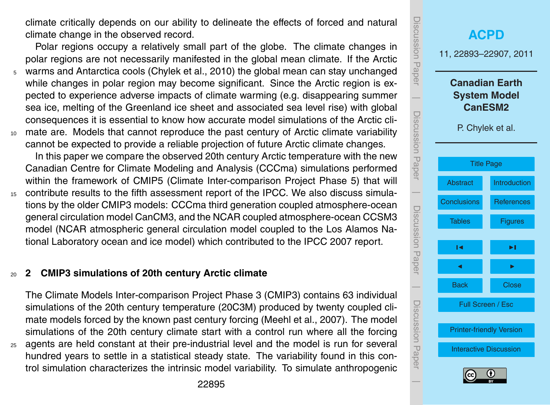climate critically depends on our ability to delineate the effects of forced and natural climate change in the observed record.

Polar regions occupy a relatively small part of the globe. The climate changes in polar regions are not necessarily manifested in the global mean climate. If the Arctic <sup>5</sup> warms and Antarctica cools (Chylek et al., 2010) the global mean can stay unchanged while changes in polar region may become significant. Since the Arctic region is expected to experience adverse impacts of climate warming (e.g. disappearing summer sea ice, melting of the Greenland ice sheet and associated sea level rise) with global consequences it is essential to know how accurate model simulations of the Arctic cli-<sup>10</sup> mate are. Models that cannot reproduce the past century of Arctic climate variability cannot be expected to provide a reliable projection of future Arctic climate changes.

In this paper we compare the observed 20th century Arctic temperature with the new Canadian Centre for Climate Modeling and Analysis (CCCma) simulations performed within the framework of CMIP5 (Climate Inter-comparison Project Phase 5) that will <sup>15</sup> contribute results to the fifth assessment report of the IPCC. We also discuss simula-

tions by the older CMIP3 models: CCCma third generation coupled atmosphere-ocean general circulation model CanCM3, and the NCAR coupled atmosphere-ocean CCSM3 model (NCAR atmospheric general circulation model coupled to the Los Alamos National Laboratory ocean and ice model) which contributed to the IPCC 2007 report.

#### <sup>20</sup> **2 CMIP3 simulations of 20th century Arctic climate**

The Climate Models Inter-comparison Project Phase 3 (CMIP3) contains 63 individual simulations of the 20th century temperature (20C3M) produced by twenty coupled climate models forced by the known past century forcing (Meehl et al., 2007). The model simulations of the 20th century climate start with a control run where all the forcing <sup>25</sup> agents are held constant at their pre-industrial level and the model is run for several

hundred years to settle in a statistical steady state. The variability found in this control simulation characterizes the intrinsic model variability. To simulate anthropogenic

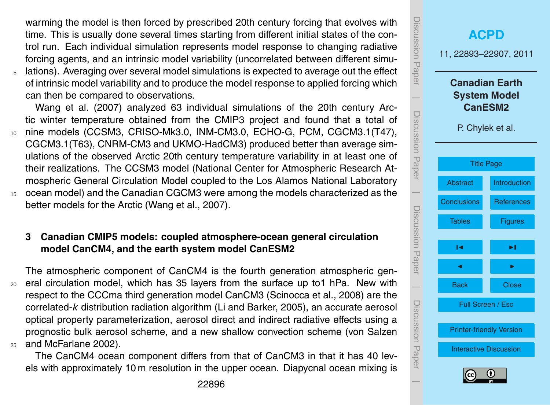warming the model is then forced by prescribed 20th century forcing that evolves with time. This is usually done several times starting from different initial states of the control run. Each individual simulation represents model response to changing radiative forcing agents, and an intrinsic model variability (uncorrelated between different simu-<sup>5</sup> lations). Averaging over several model simulations is expected to average out the effect

of intrinsic model variability and to produce the model response to applied forcing which can then be compared to observations.

Wang et al. (2007) analyzed 63 individual simulations of the 20th century Arctic winter temperature obtained from the CMIP3 project and found that a total of <sup>10</sup> nine models (CCSM3, CRISO-Mk3.0, INM-CM3.0, ECHO-G, PCM, CGCM3.1(T47), CGCM3.1(T63), CNRM-CM3 and UKMO-HadCM3) produced better than average simulations of the observed Arctic 20th century temperature variability in at least one of their realizations. The CCSM3 model (National Center for Atmospheric Research Atmospheric General Circulation Model coupled to the Los Alamos National Laboratory <sup>15</sup> ocean model) and the Canadian CGCM3 were among the models characterized as the better models for the Arctic (Wang et al., 2007).

## **3 Canadian CMIP5 models: coupled atmosphere-ocean general circulation model CanCM4, and the earth system model CanESM2**

The atmospheric component of CanCM4 is the fourth generation atmospheric gen-<sup>20</sup> eral circulation model, which has 35 layers from the surface up to1 hPa. New with respect to the CCCma third generation model CanCM3 (Scinocca et al., 2008) are the correlated-*k* distribution radiation algorithm (Li and Barker, 2005), an accurate aerosol optical property parameterization, aerosol direct and indirect radiative effects using a prognostic bulk aerosol scheme, and a new shallow convection scheme (von Salzen <sup>25</sup> and McFarlane 2002).

The CanCM4 ocean component differs from that of CanCM3 in that it has 40 levels with approximately 10 m resolution in the upper ocean. Diapycnal ocean mixing is

22896

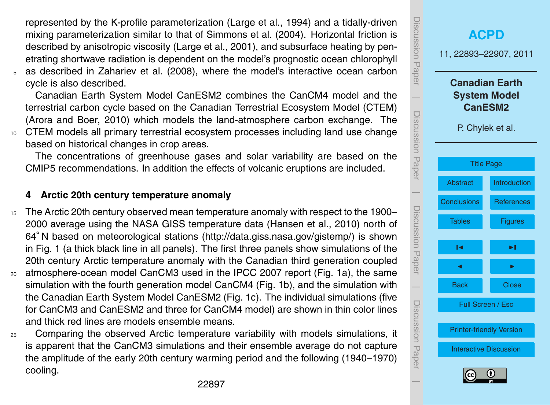represented by the K-profile parameterization (Large et al., 1994) and a tidally-driven mixing parameterization similar to that of Simmons et al. (2004). Horizontal friction is described by anisotropic viscosity (Large et al., 2001), and subsurface heating by penetrating shortwave radiation is dependent on the model's prognostic ocean chlorophyll

<sup>5</sup> as described in Zahariev et al. (2008), where the model's interactive ocean carbon cycle is also described.

Canadian Earth System Model CanESM2 combines the CanCM4 model and the terrestrial carbon cycle based on the Canadian Terrestrial Ecosystem Model (CTEM) (Arora and Boer, 2010) which models the land-atmosphere carbon exchange. The <sup>10</sup> CTEM models all primary terrestrial ecosystem processes including land use change based on historical changes in crop areas.

The concentrations of greenhouse gases and solar variability are based on the CMIP5 recommendations. In addition the effects of volcanic eruptions are included.

### **4 Arctic 20th century temperature anomaly**

- <sup>15</sup> The Arctic 20th century observed mean temperature anomaly with respect to the 1900– 2000 average using the NASA GISS temperature data (Hansen et al., 2010) north of 64◦ N based on meteorological stations [\(http://data.giss.nasa.gov/gistemp/\)](http://data.giss.nasa.gov/gistemp/) is shown in Fig. 1 (a thick black line in all panels). The first three panels show simulations of the 20th century Arctic temperature anomaly with the Canadian third generation coupled
- <sup>20</sup> atmosphere-ocean model CanCM3 used in the IPCC 2007 report (Fig. 1a), the same simulation with the fourth generation model CanCM4 (Fig. 1b), and the simulation with the Canadian Earth System Model CanESM2 (Fig. 1c). The individual simulations (five for CanCM3 and CanESM2 and three for CanCM4 model) are shown in thin color lines and thick red lines are models ensemble means.
- <sup>25</sup> Comparing the observed Arctic temperature variability with models simulations, it is apparent that the CanCM3 simulations and their ensemble average do not capture the amplitude of the early 20th century warming period and the following (1940–1970) cooling.

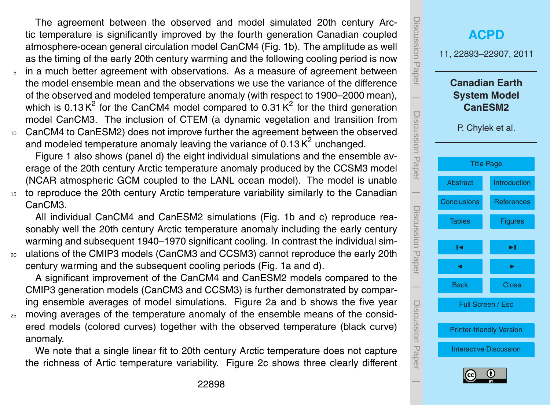The agreement between the observed and model simulated 20th century Arctic temperature is significantly improved by the fourth generation Canadian coupled atmosphere-ocean general circulation model CanCM4 (Fig. 1b). The amplitude as well as the timing of the early 20th century warming and the following cooling period is now

- <sup>5</sup> in a much better agreement with observations. As a measure of agreement between the model ensemble mean and the observations we use the variance of the difference of the observed and modeled temperature anomaly (with respect to 1900–2000 mean), which is 0.13 K<sup>2</sup> for the CanCM4 model compared to 0.31 K<sup>2</sup> for the third generation model CanCM3. The inclusion of CTEM (a dynamic vegetation and transition from <sup>10</sup> CanCM4 to CanESM2) does not improve further the agreement between the observed
- and modeled temperature anomaly leaving the variance of 0.13  $K^2$  unchanged.

Figure 1 also shows (panel d) the eight individual simulations and the ensemble average of the 20th century Arctic temperature anomaly produced by the CCSM3 model (NCAR atmospheric GCM coupled to the LANL ocean model). The model is unable

<sup>15</sup> to reproduce the 20th century Arctic temperature variability similarly to the Canadian CanCM3.

All individual CanCM4 and CanESM2 simulations (Fig. 1b and c) reproduce reasonably well the 20th century Arctic temperature anomaly including the early century warming and subsequent 1940–1970 significant cooling. In contrast the individual sim-

<sup>20</sup> ulations of the CMIP3 models (CanCM3 and CCSM3) cannot reproduce the early 20th century warming and the subsequent cooling periods (Fig. 1a and d).

A significant improvement of the CanCM4 and CanESM2 models compared to the CMIP3 generation models (CanCM3 and CCSM3) is further demonstrated by comparing ensemble averages of model simulations. Figure 2a and b shows the five year

<sup>25</sup> moving averages of the temperature anomaly of the ensemble means of the considered models (colored curves) together with the observed temperature (black curve) anomaly.

We note that a single linear fit to 20th century Arctic temperature does not capture the richness of Artic temperature variability. Figure 2c shows three clearly different

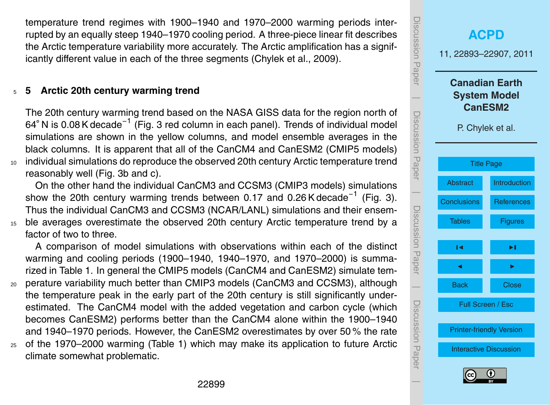temperature trend regimes with 1900–1940 and 1970–2000 warming periods interrupted by an equally steep 1940–1970 cooling period. A three-piece linear fit describes the Arctic temperature variability more accurately. The Arctic amplification has a significantly different value in each of the three segments (Chylek et al., 2009).

#### <sup>5</sup> **5 Arctic 20th century warming trend**

The 20th century warming trend based on the NASA GISS data for the region north of 64° N is 0.08 K decade<sup>−1</sup> (Fig. 3 red column in each panel). Trends of individual model simulations are shown in the yellow columns, and model ensemble averages in the black columns. It is apparent that all of the CanCM4 and CanESM2 (CMIP5 models) <sup>10</sup> individual simulations do reproduce the observed 20th century Arctic temperature trend reasonably well (Fig. 3b and c).

On the other hand the individual CanCM3 and CCSM3 (CMIP3 models) simulations show the 20th century warming trends between 0.17 and 0.26 K decade<sup>-1</sup> (Fig. 3). Thus the individual CanCM3 and CCSM3 (NCAR/LANL) simulations and their ensem-<sup>15</sup> ble averages overestimate the observed 20th century Arctic temperature trend by a factor of two to three.

A comparison of model simulations with observations within each of the distinct warming and cooling periods (1900–1940, 1940–1970, and 1970–2000) is summarized in Table 1. In general the CMIP5 models (CanCM4 and CanESM2) simulate tem-

- <sup>20</sup> perature variability much better than CMIP3 models (CanCM3 and CCSM3), although the temperature peak in the early part of the 20th century is still significantly underestimated. The CanCM4 model with the added vegetation and carbon cycle (which becomes CanESM2) performs better than the CanCM4 alone within the 1900–1940 and 1940–1970 periods. However, the CanESM2 overestimates by over 50 % the rate
- <sup>25</sup> of the 1970–2000 warming (Table 1) which may make its application to future Arctic climate somewhat problematic.

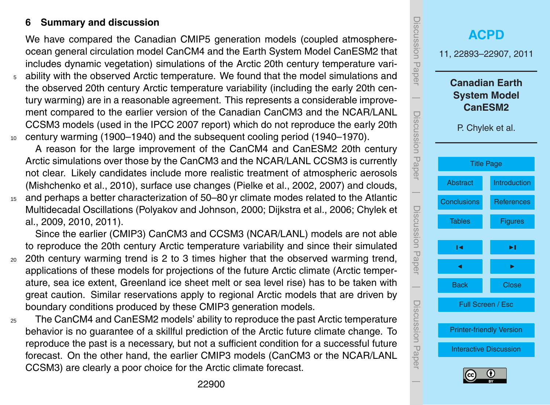### <span id="page-7-0"></span>**6 Summary and discussion**

We have compared the Canadian CMIP5 generation models (coupled atmosphereocean general circulation model CanCM4 and the Earth System Model CanESM2 that includes dynamic vegetation) simulations of the Arctic 20th century temperature vari-

<sup>5</sup> ability with the observed Arctic temperature. We found that the model simulations and the observed 20th century Arctic temperature variability (including the early 20th century warming) are in a reasonable agreement. This represents a considerable improvement compared to the earlier version of the Canadian CanCM3 and the NCAR/LANL CCSM3 models (used in the IPCC 2007 report) which do not reproduce the early 20th <sup>10</sup> century warming (1900–1940) and the subsequent cooling period (1940–1970).

A reason for the large improvement of the CanCM4 and CanESM2 20th century Arctic simulations over those by the CanCM3 and the NCAR/LANL CCSM3 is currently not clear. Likely candidates include more realistic treatment of atmospheric aerosols (Mishchenko et al., 2010), surface use changes (Pielke et al., 2002, 2007) and clouds, <sup>15</sup> and perhaps a better characterization of 50–80 yr climate modes related to the Atlantic

Multidecadal Oscillations (Polyakov and Johnson, 2000; Dijkstra et al., 2006; Chylek et al., 2009, 2010, 2011).

Since the earlier (CMIP3) CanCM3 and CCSM3 (NCAR/LANL) models are not able to reproduce the 20th century Arctic temperature variability and since their simulated

- <sup>20</sup> 20th century warming trend is 2 to 3 times higher that the observed warming trend, applications of these models for projections of the future Arctic climate (Arctic temperature, sea ice extent, Greenland ice sheet melt or sea level rise) has to be taken with great caution. Similar reservations apply to regional Arctic models that are driven by boundary conditions produced by these CMIP3 generation models.
- <sub>25</sub> The CanCM4 and CanESM2 models' ability to reproduce the past Arctic temperature behavior is no guarantee of a skillful prediction of the Arctic future climate change. To reproduce the past is a necessary, but not a sufficient condition for a successful future forecast. On the other hand, the earlier CMIP3 models (CanCM3 or the NCAR/LANL CCSM3) are clearly a poor choice for the Arctic climate forecast.

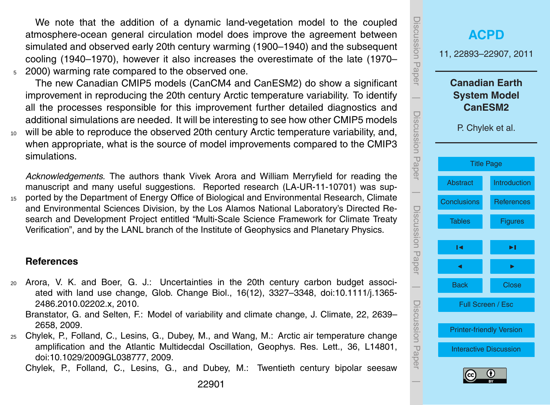<span id="page-8-0"></span>We note that the addition of a dynamic land-vegetation model to the coupled atmosphere-ocean general circulation model does improve the agreement between simulated and observed early 20th century warming (1900–1940) and the subsequent cooling (1940–1970), however it also increases the overestimate of the late (1970– <sup>5</sup> 2000) warming rate compared to the observed one.

The new Canadian CMIP5 models (CanCM4 and CanESM2) do show a significant improvement in reproducing the 20th century Arctic temperature variability. To identify all the processes responsible for this improvement further detailed diagnostics and additional simulations are needed. It will be interesting to see how other CMIP5 models <sup>10</sup> will be able to reproduce the observed 20th century Arctic temperature variability, and,

when appropriate, what is the source of model improvements compared to the CMIP3 simulations.

*Acknowledgements.* The authors thank Vivek Arora and William Merryfield for reading the manuscript and many useful suggestions. Reported research (LA-UR-11-10701) was sup-<sup>15</sup> ported by the Department of Energy Office of Biological and Environmental Research, Climate and Environmental Sciences Division, by the Los Alamos National Laboratory's Directed Research and Development Project entitled "Multi-Scale Science Framework for Climate Treaty Verification", and by the LANL branch of the Institute of Geophysics and Planetary Physics.

#### **References**

- <sup>20</sup> Arora, V. K. and Boer, G. J.: Uncertainties in the 20th century carbon budget associated with land use change, Glob. Change Biol., 16(12), 3327–3348, [doi:10.1111/j.1365-](http://dx.doi.org/10.1111/j.1365-2486.2010.02202.x) [2486.2010.02202.x,](http://dx.doi.org/10.1111/j.1365-2486.2010.02202.x) 2010.
	- Branstator, G. and Selten, F.: Model of variability and climate change, J. Climate, 22, 2639– 2658, 2009.
- <sup>25</sup> Chylek, P., Folland, C., Lesins, G., Dubey, M., and Wang, M.: Arctic air temperature change amplification and the Atlantic Multidecdal Oscillation, Geophys. Res. Lett., 36, L14801, [doi:10.1029/2009GL038777,](http://dx.doi.org/10.1029/2009GL038777) 2009.

Chylek, P., Folland, C., Lesins, G., and Dubey, M.: Twentieth century bipolar seesaw

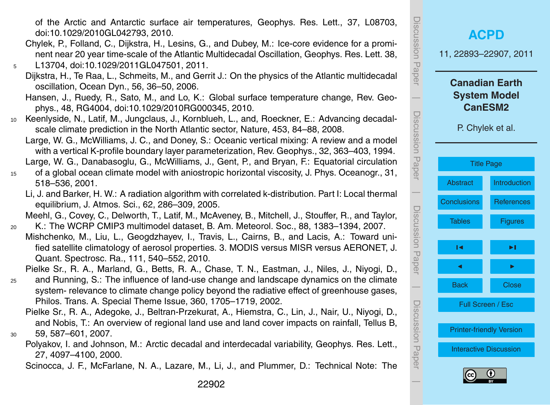of the Arctic and Antarctic surface air temperatures, Geophys. Res. Lett., 37, L08703, [doi:10.1029/2010GL042793,](http://dx.doi.org/10.1029/2010GL042793) 2010.

- Chylek, P., Folland, C., Dijkstra, H., Lesins, G., and Dubey, M.: Ice-core evidence for a prominent near 20 year time-scale of the Atlantic Multidecadal Oscillation, Geophys. Res. Lett. 38, <sup>5</sup> L13704, [doi:10.1029/2011GL047501,](http://dx.doi.org/10.1029/2011GL047501) 2011.
	- Dijkstra, H., Te Raa, L., Schmeits, M., and Gerrit J.: On the physics of the Atlantic multidecadal oscillation, Ocean Dyn., 56, 36–50, 2006.
	- Hansen, J., Ruedy, R., Sato, M., and Lo, K.: Global surface temperature change, Rev. Geophys., 48, RG4004, [doi:10.1029/2010RG000345,](http://dx.doi.org/10.1029/2010RG000345) 2010.
- <sup>10</sup> Keenlyside, N., Latif, M., Jungclaus, J., Kornblueh, L., and, Roeckner, E.: Advancing decadalscale climate prediction in the North Atlantic sector, Nature, 453, 84–88, 2008.
	- Large, W. G., McWilliams, J. C., and Doney, S.: Oceanic vertical mixing: A review and a model with a vertical K-profile boundary layer parameterization, Rev. Geophys., 32, 363–403, 1994. Large, W. G., Danabasoglu, G., McWilliams, J., Gent, P., and Bryan, F.: Equatorial circulation
- <sup>15</sup> of a global ocean climate model with aniostropic horizontal viscosity, J. Phys. Oceanogr., 31, 518–536, 2001.
	- Li, J. and Barker, H. W.: A radiation algorithm with correlated k-distribution. Part I: Local thermal equilibrium, J. Atmos. Sci., 62, 286–309, 2005.

Meehl, G., Covey, C., Delworth, T., Latif, M., McAveney, B., Mitchell, J., Stouffer, R., and Taylor, <sup>20</sup> K.: The WCRP CMIP3 multimodel dataset, B. Am. Meteorol. Soc., 88, 1383–1394, 2007.

Mishchenko, M., Liu, L., Geogdzhayev, I., Travis, L., Cairns, B., and Lacis, A.: Toward unified satellite climatology of aerosol properties. 3. MODIS versus MISR versus AERONET, J. Quant. Spectrosc. Ra., 111, 540–552, 2010.

Pielke Sr., R. A., Marland, G., Betts, R. A., Chase, T. N., Eastman, J., Niles, J., Niyogi, D.,

- <sup>25</sup> and Running, S.: The influence of land-use change and landscape dynamics on the climate system- relevance to climate change policy beyond the radiative effect of greenhouse gases, Philos. Trans. A. Special Theme Issue, 360, 1705–1719, 2002.
- Pielke Sr., R. A., Adegoke, J., Beltran-Przekurat, A., Hiemstra, C., Lin, J., Nair, U., Niyogi, D., and Nobis, T.: An overview of regional land use and land cover impacts on rainfall, Tellus B, <sup>30</sup> 59, 587–601, 2007.
	- Polyakov, I. and Johnson, M.: Arctic decadal and interdecadal variability, Geophys. Res. Lett., 27, 4097–4100, 2000.

Scinocca, J. F., McFarlane, N. A., Lazare, M., Li, J., and Plummer, D.: Technical Note: The

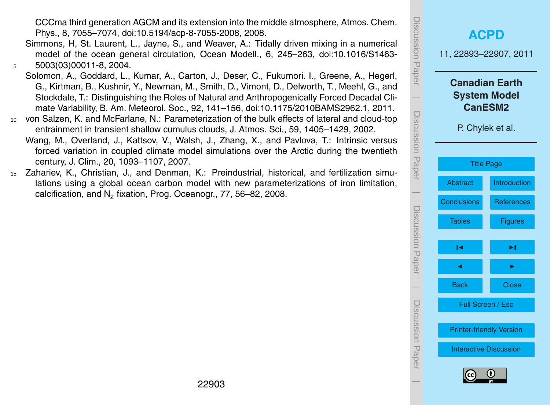CCCma third generation AGCM and its extension into the middle atmosphere, Atmos. Chem. Phys., 8, 7055–7074, [doi:10.5194/acp-8-7055-2008,](http://dx.doi.org/10.5194/acp-8-7055-2008) 2008.

- Simmons, H, St. Laurent, L., Jayne, S., and Weaver, A.: Tidally driven mixing in a numerical model of the ocean general circulation, Ocean Modell., 6, 245–263, [doi:10.1016/S1463-](http://dx.doi.org/10.1016/S1463-5003(03)00011-8) <sup>5</sup> [5003\(03\)00011-8,](http://dx.doi.org/10.1016/S1463-5003(03)00011-8) 2004.
- Solomon, A., Goddard, L., Kumar, A., Carton, J., Deser, C., Fukumori. I., Greene, A., Hegerl, G., Kirtman, B., Kushnir, Y., Newman, M., Smith, D., Vimont, D., Delworth, T., Meehl, G., and Stockdale, T.: Distinguishing the Roles of Natural and Anthropogenically Forced Decadal Climate Variability, B. Am. Meteorol. Soc., 92, 141–156, [doi:10.1175/2010BAMS2962.1,](http://dx.doi.org/10.1175/2010BAMS2962.1) 2011.
- <sup>10</sup> von Salzen, K. and McFarlane, N.: Parameterization of the bulk effects of lateral and cloud-top entrainment in transient shallow cumulus clouds, J. Atmos. Sci., 59, 1405–1429, 2002.
	- Wang, M., Overland, J., Kattsov, V., Walsh, J., Zhang, X., and Pavlova, T.: Intrinsic versus forced variation in coupled climate model simulations over the Arctic during the twentieth century, J. Clim., 20, 1093–1107, 2007.
- <sup>15</sup> Zahariev, K., Christian, J., and Denman, K.: Preindustrial, historical, and fertilization simulations using a global ocean carbon model with new parameterizations of iron limitation, calcification, and  $N_2$  fixation, Prog. Oceanogr., 77, 56–82, 2008.

| iscussion<br>Paper  | <b>ACPD</b><br>11, 22893-22907, 2011                                               |                   |  |  |  |  |  |  |
|---------------------|------------------------------------------------------------------------------------|-------------------|--|--|--|--|--|--|
| Discussion Paper    | <b>Canadian Earth</b><br><b>System Model</b><br><b>CanESM2</b><br>P. Chylek et al. |                   |  |  |  |  |  |  |
|                     | <b>Title Page</b>                                                                  |                   |  |  |  |  |  |  |
|                     | <b>Abstract</b>                                                                    | Introduction      |  |  |  |  |  |  |
|                     | <b>Conclusions</b>                                                                 | <b>References</b> |  |  |  |  |  |  |
| Discussion<br>Paper | <b>Tables</b>                                                                      | <b>Figures</b>    |  |  |  |  |  |  |
|                     | м                                                                                  | ▶∣                |  |  |  |  |  |  |
|                     | ◀                                                                                  |                   |  |  |  |  |  |  |
|                     | <b>Back</b>                                                                        | <b>Close</b>      |  |  |  |  |  |  |
| Discussion Hapel    | Full Screen / Esc                                                                  |                   |  |  |  |  |  |  |
|                     | <b>Printer-friendly Version</b>                                                    |                   |  |  |  |  |  |  |
|                     | <b>Interactive Discussion</b>                                                      |                   |  |  |  |  |  |  |
| 0<br>(cc            |                                                                                    |                   |  |  |  |  |  |  |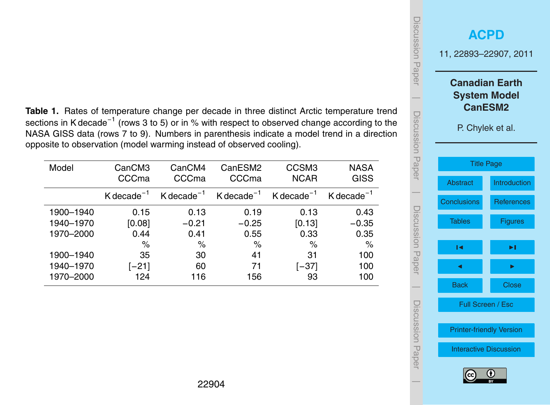<span id="page-11-0"></span>**Table 1.** Rates of temperature change per decade in three distinct Arctic temperature trend sections in K decade<sup>−1</sup> (rows 3 to 5) or in % with respect to observed change according to the NASA GISS data (rows 7 to 9). Numbers in parenthesis indicate a model trend in a direction opposite to observation (model warming instead of observed cooling).

| Model     | CanCM3<br>CCCma          | CanCM4<br>CCCma          | CanESM2<br>CCCma         | CCSM <sub>3</sub><br><b>NCAR</b> | <b>NASA</b><br><b>GISS</b>            |
|-----------|--------------------------|--------------------------|--------------------------|----------------------------------|---------------------------------------|
|           | $K$ decade <sup>-1</sup> | $K$ decade <sup>-1</sup> | $K$ decade <sup>-1</sup> | $K$ decade <sup>-1</sup>         | $K$ decade <sup><math>-1</math></sup> |
| 1900-1940 | 0.15                     | 0.13                     | 0.19                     | 0.13                             | 0.43                                  |
| 1940-1970 | [0.08]                   | $-0.21$                  | $-0.25$                  | [0.13]                           | $-0.35$                               |
| 1970-2000 | 0.44                     | 0.41                     | 0.55                     | 0.33                             | 0.35                                  |
|           | $\%$                     | $\%$                     | %                        | $\%$                             | $\%$                                  |
| 1900-1940 | 35                       | 30                       | 41                       | 31                               | 100                                   |
| 1940-1970 | $[-21]$                  | 60                       | 71                       | [–37]                            | 100                                   |
| 1970-2000 | 124                      | 116                      | 156                      | 93                               | 100                                   |
|           |                          |                          |                          |                                  |                                       |

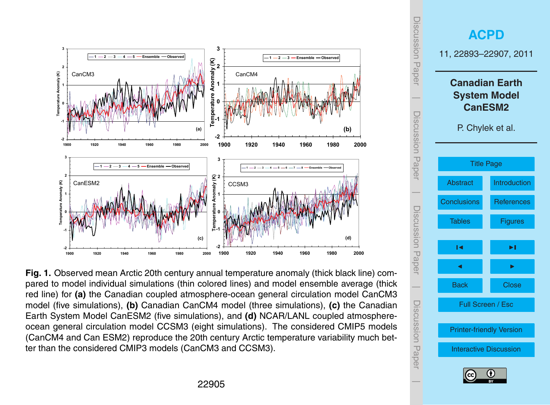<span id="page-12-0"></span>

**Fig. 1.** Observed mean Arctic 20th century annual temperature anomaly (thick black line) compared to model individual simulations (thin colored lines) and model ensemble average (thick red line) for **(a)** the Canadian coupled atmosphere-ocean general circulation model CanCM3 model (five simulations), **(b)** Canadian CanCM4 model (three simulations), **(c)** the Canadian Earth System Model CanESM2 (five simulations), and **(d)** NCAR/LANL coupled atmosphereocean general circulation model CCSM3 (eight simulations). The considered CMIP5 models (CanCM4 and Can ESM2) reproduce the 20th century Arctic temperature variability much better than the considered CMIP3 models (CanCM3 and CCSM3).

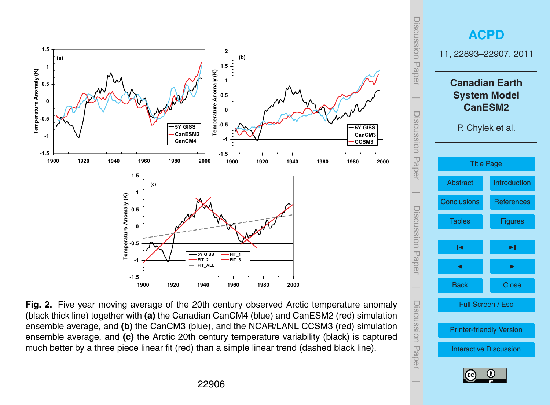